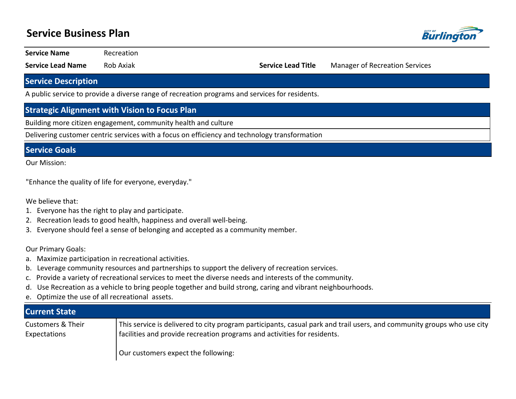# **Service Business Plan**



**Service Name** Recreation

**Service Lead Name** Rob Axiak **Service Lead Title** Manager of Recreation Services

### **Service Description**

A public service to provide a diverse range of recreation programs and services for residents.

### **Strategic Alignment with Vision to Focus Plan**

Building more citizen engagement, community health and culture

Delivering customer centric services with a focus on efficiency and technology transformation

#### **Service Goals**

Our Mission:

"Enhance the quality of life for everyone, everyday."

We believe that:

- 1. Everyone has the right to play and participate.
- 2. Recreation leads to good health, happiness and overall well-being.
- 3. Everyone should feel a sense of belonging and accepted as a community member.

Our Primary Goals:

- a. Maximize participation in recreational activities.
- b. Leverage community resources and partnerships to support the delivery of recreation services.
- c. Provide a variety of recreational services to meet the diverse needs and interests of the community.
- d. Use Recreation as a vehicle to bring people together and build strong, caring and vibrant neighbourhoods.
- e. Optimize the use of all recreational assets.

| <b>Current State</b>                         |                                                                                                                                                                                                    |
|----------------------------------------------|----------------------------------------------------------------------------------------------------------------------------------------------------------------------------------------------------|
| <b>Customers &amp; Their</b><br>Expectations | This service is delivered to city program participants, casual park and trail users, and community groups who use city<br>facilities and provide recreation programs and activities for residents. |
|                                              | Our customers expect the following:                                                                                                                                                                |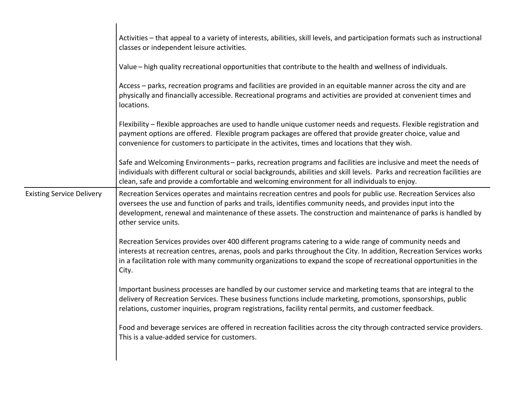|                                  | Activities - that appeal to a variety of interests, abilities, skill levels, and participation formats such as instructional<br>classes or independent leisure activities.                                                                                                                                                                                              |
|----------------------------------|-------------------------------------------------------------------------------------------------------------------------------------------------------------------------------------------------------------------------------------------------------------------------------------------------------------------------------------------------------------------------|
|                                  | Value – high quality recreational opportunities that contribute to the health and wellness of individuals.                                                                                                                                                                                                                                                              |
|                                  | Access – parks, recreation programs and facilities are provided in an equitable manner across the city and are<br>physically and financially accessible. Recreational programs and activities are provided at convenient times and<br>locations.                                                                                                                        |
|                                  | Flexibility – flexible approaches are used to handle unique customer needs and requests. Flexible registration and<br>payment options are offered. Flexible program packages are offered that provide greater choice, value and<br>convenience for customers to participate in the activites, times and locations that they wish.                                       |
|                                  | Safe and Welcoming Environments - parks, recreation programs and facilities are inclusive and meet the needs of<br>individuals with different cultural or social backgrounds, abilities and skill levels. Parks and recreation facilities are<br>clean, safe and provide a comfortable and welcoming environment for all individuals to enjoy.                          |
| <b>Existing Service Delivery</b> | Recreation Services operates and maintains recreation centres and pools for public use. Recreation Services also<br>oversees the use and function of parks and trails, identifies community needs, and provides input into the<br>development, renewal and maintenance of these assets. The construction and maintenance of parks is handled by<br>other service units. |
|                                  | Recreation Services provides over 400 different programs catering to a wide range of community needs and<br>interests at recreation centres, arenas, pools and parks throughout the City. In addition, Recreation Services works<br>in a facilitation role with many community organizations to expand the scope of recreational opportunities in the<br>City.          |
|                                  | Important business processes are handled by our customer service and marketing teams that are integral to the<br>delivery of Recreation Services. These business functions include marketing, promotions, sponsorships, public<br>relations, customer inquiries, program registrations, facility rental permits, and customer feedback.                                 |
|                                  | Food and beverage services are offered in recreation facilities across the city through contracted service providers.<br>This is a value-added service for customers.                                                                                                                                                                                                   |
|                                  |                                                                                                                                                                                                                                                                                                                                                                         |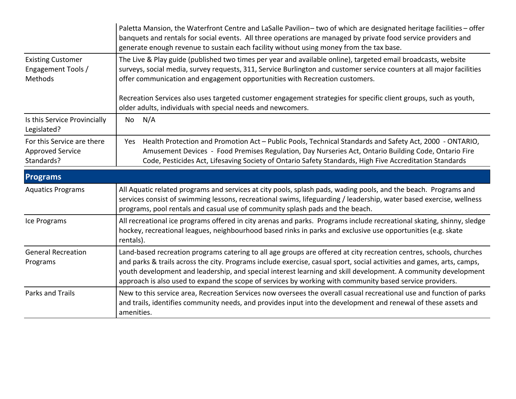|                                                                     | Paletta Mansion, the Waterfront Centre and LaSalle Pavilion– two of which are designated heritage facilities – offer<br>banquets and rentals for social events. All three operations are managed by private food service providers and<br>generate enough revenue to sustain each facility without using money from the tax base.                                                                                                                                           |  |  |  |
|---------------------------------------------------------------------|-----------------------------------------------------------------------------------------------------------------------------------------------------------------------------------------------------------------------------------------------------------------------------------------------------------------------------------------------------------------------------------------------------------------------------------------------------------------------------|--|--|--|
| <b>Existing Customer</b><br>Engagement Tools /<br><b>Methods</b>    | The Live & Play guide (published two times per year and available online), targeted email broadcasts, website<br>surveys, social media, survey requests, 311, Service Burlington and customer service counters at all major facilities<br>offer communication and engagement opportunities with Recreation customers.                                                                                                                                                       |  |  |  |
|                                                                     | Recreation Services also uses targeted customer engagement strategies for specific client groups, such as youth,<br>older adults, individuals with special needs and newcomers.                                                                                                                                                                                                                                                                                             |  |  |  |
| Is this Service Provincially<br>Legislated?                         | N/A<br>No                                                                                                                                                                                                                                                                                                                                                                                                                                                                   |  |  |  |
| For this Service are there<br><b>Approved Service</b><br>Standards? | Health Protection and Promotion Act - Public Pools, Technical Standards and Safety Act, 2000 - ONTARIO,<br>Yes<br>Amusement Devices - Food Premises Regulation, Day Nurseries Act, Ontario Building Code, Ontario Fire<br>Code, Pesticides Act, Lifesaving Society of Ontario Safety Standards, High Five Accreditation Standards                                                                                                                                           |  |  |  |
| <b>Programs</b>                                                     |                                                                                                                                                                                                                                                                                                                                                                                                                                                                             |  |  |  |
| <b>Aquatics Programs</b>                                            | All Aquatic related programs and services at city pools, splash pads, wading pools, and the beach. Programs and<br>services consist of swimming lessons, recreational swims, lifeguarding / leadership, water based exercise, wellness<br>programs, pool rentals and casual use of community splash pads and the beach.                                                                                                                                                     |  |  |  |
| Ice Programs                                                        | All recreational ice programs offered in city arenas and parks. Programs include recreational skating, shinny, sledge<br>hockey, recreational leagues, neighbourhood based rinks in parks and exclusive use opportunities (e.g. skate<br>rentals).                                                                                                                                                                                                                          |  |  |  |
| <b>General Recreation</b><br>Programs                               | Land-based recreation programs catering to all age groups are offered at city recreation centres, schools, churches<br>and parks & trails across the city. Programs include exercise, casual sport, social activities and games, arts, camps,<br>youth development and leadership, and special interest learning and skill development. A community development<br>approach is also used to expand the scope of services by working with community based service providers. |  |  |  |
| <b>Parks and Trails</b>                                             | New to this service area, Recreation Services now oversees the overall casual recreational use and function of parks<br>and trails, identifies community needs, and provides input into the development and renewal of these assets and<br>amenities.                                                                                                                                                                                                                       |  |  |  |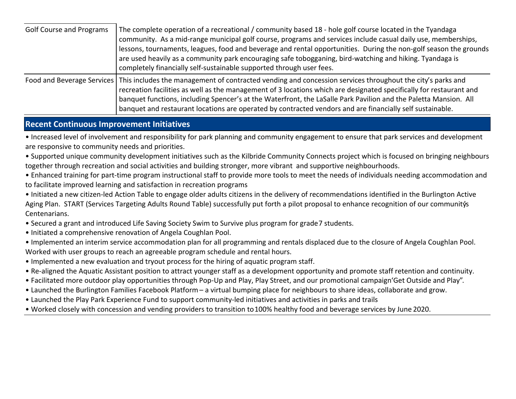| <b>Golf Course and Programs</b> | The complete operation of a recreational / community based 18 - hole golf course located in the Tyandaga<br>community. As a mid-range municipal golf course, programs and services include casual daily use, memberships,<br>lessons, tournaments, leagues, food and beverage and rental opportunities. During the non-golf season the grounds<br>are used heavily as a community park encouraging safe tobogganing, bird-watching and hiking. Tyandaga is<br>completely financially self-sustainable supported through user fees. |
|---------------------------------|------------------------------------------------------------------------------------------------------------------------------------------------------------------------------------------------------------------------------------------------------------------------------------------------------------------------------------------------------------------------------------------------------------------------------------------------------------------------------------------------------------------------------------|
|                                 | Food and Beverage Services   This includes the management of contracted vending and concession services throughout the city's parks and<br>recreation facilities as well as the management of 3 locations which are designated specifically for restaurant and<br>banquet functions, including Spencer's at the Waterfront, the LaSalle Park Pavilion and the Paletta Mansion. All<br>banquet and restaurant locations are operated by contracted vendors and are financially self sustainable.                                    |

### **Recent Continuous Improvement Initiatives**

• Increased level of involvement and responsibility for park planning and community engagement to ensure that park services and development are responsive to community needs and priorities.

• Supported unique community development initiatives such as the Kilbride Community Connects project which is focused on bringing neighbours together through recreation and social activities and building stronger, more vibrant and supportive neighbourhoods.

• Enhanced training for part-time program instructional staff to provide more tools to meet the needs of individuals needing accommodation and to facilitate improved learning and satisfaction in recreation programs

• Initiated a new citizen-led Action Table to engage older adults citizens in the delivery of recommendations identified in the Burlington Active Aging Plan. START (Services Targeting Adults Round Table) successfully put forth a pilot proposal to enhance recognition of our community's Centenarians.

• Secured a grant and introduced Life Saving Society Swim to Survive plus program for grade 7 students.

- Initiated a comprehensive renovation of Angela Coughlan Pool.
- Implemented an interim service accommodation plan for all programming and rentals displaced due to the closure of Angela Coughlan Pool. Worked with user groups to reach an agreeable program schedule and rental hours.
- Implemented a new evaluation and tryout process for the hiring of aquatic program staff.
- Re-aligned the Aquatic Assistant position to attract younger staff as a development opportunity and promote staff retention and continuity.
- Facilitated more outdoor play opportunities through Pop-Up and Play, Play Street, and our promotional campaign Get Outside and Play".
- Launched the Burlington Families Facebook Platform a virtual bumping place for neighbours to share ideas, collaborate and grow.
- Launched the Play Park Experience Fund to support community-led initiatives and activities in parks and trails
- ͻWorked closely with concession and vending providers to transition to 100% healthy food and beverage services by June 2020.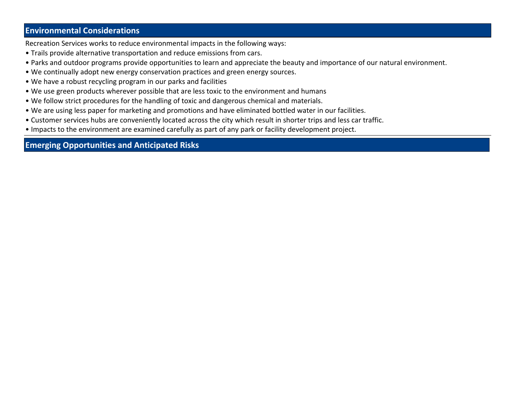## **Environmental Considerations**

Recreation Services works to reduce environmental impacts in the following ways:

- Trails provide alternative transportation and reduce emissions from cars.
- Parks and outdoor programs provide opportunities to learn and appreciate the beauty and importance of our natural environment.
- We continually adopt new energy conservation practices and green energy sources.
- We have a robust recycling program in our parks and facilities
- We use green products wherever possible that are less toxic to the environment and humans
- We follow strict procedures for the handling of toxic and dangerous chemical and materials.
- We are using less paper for marketing and promotions and have eliminated bottled water in our facilities.
- Customer services hubs are conveniently located across the city which result in shorter trips and less car traffic.
- Impacts to the environment are examined carefully as part of any park or facility development project.

## **Emerging Opportunities and Anticipated Risks**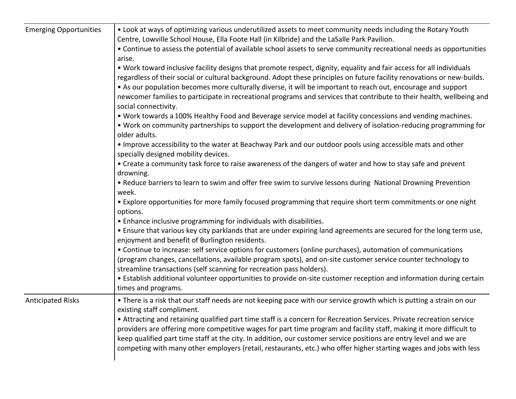| <b>Emerging Opportunities</b> | • Look at ways of optimizing various underutilized assets to meet community needs including the Rotary Youth<br>Centre, Lowville School House, Ella Foote Hall (in Kilbride) and the LaSalle Park Pavilion.                                                                                                                                                                                                                                                                                                       |  |  |  |  |  |  |
|-------------------------------|-------------------------------------------------------------------------------------------------------------------------------------------------------------------------------------------------------------------------------------------------------------------------------------------------------------------------------------------------------------------------------------------------------------------------------------------------------------------------------------------------------------------|--|--|--|--|--|--|
|                               | • Continue to assess the potential of available school assets to serve community recreational needs as opportunities<br>arise.                                                                                                                                                                                                                                                                                                                                                                                    |  |  |  |  |  |  |
|                               | . Work toward inclusive facility designs that promote respect, dignity, equality and fair access for all individuals<br>regardless of their social or cultural background. Adopt these principles on future facility renovations or new-builds.<br>• As our population becomes more culturally diverse, it will be important to reach out, encourage and support<br>newcomer families to participate in recreational programs and services that contribute to their health, wellbeing and<br>social connectivity. |  |  |  |  |  |  |
|                               | . Work towards a 100% Healthy Food and Beverage service model at facility concessions and vending machines.<br>. Work on community partnerships to support the development and delivery of isolation-reducing programming for<br>older adults.                                                                                                                                                                                                                                                                    |  |  |  |  |  |  |
|                               | . Improve accessibility to the water at Beachway Park and our outdoor pools using accessible mats and other<br>specially designed mobility devices.                                                                                                                                                                                                                                                                                                                                                               |  |  |  |  |  |  |
|                               | • Create a community task force to raise awareness of the dangers of water and how to stay safe and prevent<br>drowning.                                                                                                                                                                                                                                                                                                                                                                                          |  |  |  |  |  |  |
|                               | . Reduce barriers to learn to swim and offer free swim to survive lessons during National Drowning Prevention<br>week.                                                                                                                                                                                                                                                                                                                                                                                            |  |  |  |  |  |  |
|                               | • Explore opportunities for more family focused programming that require short term commitments or one night<br>options.                                                                                                                                                                                                                                                                                                                                                                                          |  |  |  |  |  |  |
|                               | • Enhance inclusive programming for individuals with disabilities.                                                                                                                                                                                                                                                                                                                                                                                                                                                |  |  |  |  |  |  |
|                               | . Ensure that various key city parklands that are under expiring land agreements are secured for the long term use,<br>enjoyment and benefit of Burlington residents.                                                                                                                                                                                                                                                                                                                                             |  |  |  |  |  |  |
|                               | • Continue to increase: self service options for customers (online purchases), automation of communications<br>(program changes, cancellations, available program spots), and on-site customer service counter technology to<br>streamline transactions (self scanning for recreation pass holders).                                                                                                                                                                                                              |  |  |  |  |  |  |
|                               | • Establish additional volunteer opportunities to provide on-site customer reception and information during certain<br>times and programs.                                                                                                                                                                                                                                                                                                                                                                        |  |  |  |  |  |  |
| <b>Anticipated Risks</b>      | • There is a risk that our staff needs are not keeping pace with our service growth which is putting a strain on our<br>existing staff compliment.                                                                                                                                                                                                                                                                                                                                                                |  |  |  |  |  |  |
|                               | • Attracting and retaining qualified part time staff is a concern for Recreation Services. Private recreation service<br>providers are offering more competitive wages for part time program and facility staff, making it more difficult to<br>keep qualified part time staff at the city. In addition, our customer service positions are entry level and we are<br>competing with many other employers (retail, restaurants, etc.) who offer higher starting wages and jobs with less                          |  |  |  |  |  |  |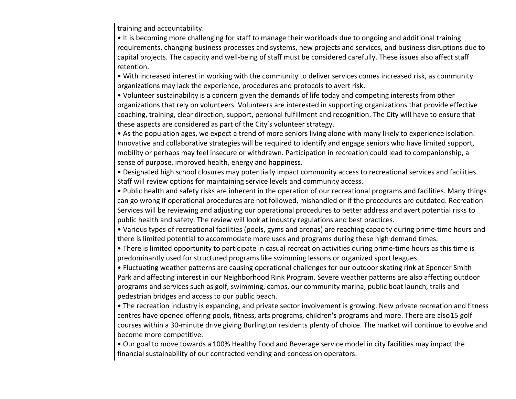training and accountability.

• It is becoming more challenging for staff to manage their workloads due to ongoing and additional training requirements, changing business processes and systems, new projects and services, and business disruptions due to capital projects. The capacity and well-being of staff must be considered carefully. These issues also affect staff retention.

• With increased interest in working with the community to deliver services comes increased risk, as community organizations may lack the experience, procedures and protocols to avert risk.

• Volunteer sustainability is a concern given the demands of life today and competing interests from other organizations that rely on volunteers. Volunteers are interested in supporting organizations that provide effective coaching, training, clear direction, support, personal fulfillment and recognition. The City will have to ensure that these aspects are considered as part of the City's volunteer strategy.

• As the population ages, we expect a trend of more seniors living alone with many likely to experience isolation. Innovative and collaborative strategies will be required to identify and engage seniors who have limited support, mobility or perhaps may feel insecure or withdrawn. Participation in recreation could lead to companionship, a sense of purpose, improved health, energy and happiness.

• Designated high school closures may potentially impact community access to recreational services and facilities. Staff will review options for maintaining service levels and community access.

• Public health and safety risks are inherent in the operation of our recreational programs and facilities. Many things can go wrong if operational procedures are not followed, mishandled or if the procedures are outdated. Recreation Services will be reviewing and adjusting our operational procedures to better address and avert potential risks to public health and safety. The review will look at industry regulations and best practices.

• Various types of recreational facilities (pools, gyms and arenas) are reaching capacity during prime-time hours and there is limited potential to accommodate more uses and programs during these high demand times.

• There is limited opportunity to participate in casual recreation activities during prime-time hours as this time is predominantly used for structured programs like swimming lessons or organized sport leagues.

• Fluctuating weather patterns are causing operational challenges for our outdoor skating rink at Spencer Smith Park and affecting interest in our Neighborhood Rink Program. Severe weather patterns are also affecting outdoor programs and services such as golf, swimming, camps, our community marina, public boat launch, trails and pedestrian bridges and access to our public beach.

• The recreation industry is expanding, and private sector involvement is growing. New private recreation and fitness centres have opened offering pools, fitness, arts programs, children's programs and more. There are also 15 golf courses within a 30-minute drive giving Burlington residents plenty of choice. The market will continue to evolve and become more competitive.

• Our goal to move towards a 100% Healthy Food and Beverage service model in city facilities may impact the financial sustainability of our contracted vending and concession operators.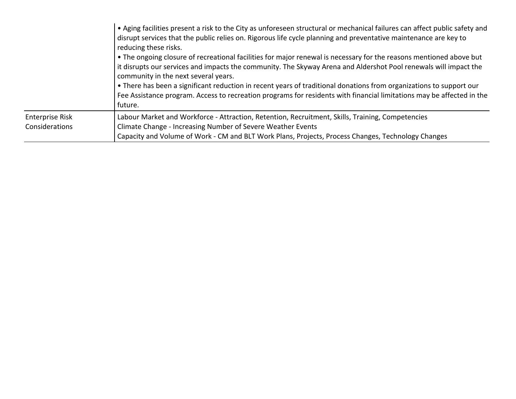|                                   | • Aging facilities present a risk to the City as unforeseen structural or mechanical failures can affect public safety and<br>disrupt services that the public relies on. Rigorous life cycle planning and preventative maintenance are key to<br>reducing these risks.<br>• The ongoing closure of recreational facilities for major renewal is necessary for the reasons mentioned above but<br>it disrupts our services and impacts the community. The Skyway Arena and Aldershot Pool renewals will impact the<br>community in the next several years.<br>• There has been a significant reduction in recent years of traditional donations from organizations to support our<br>Fee Assistance program. Access to recreation programs for residents with financial limitations may be affected in the<br>future. |
|-----------------------------------|-----------------------------------------------------------------------------------------------------------------------------------------------------------------------------------------------------------------------------------------------------------------------------------------------------------------------------------------------------------------------------------------------------------------------------------------------------------------------------------------------------------------------------------------------------------------------------------------------------------------------------------------------------------------------------------------------------------------------------------------------------------------------------------------------------------------------|
| Enterprise Risk<br>Considerations | Labour Market and Workforce - Attraction, Retention, Recruitment, Skills, Training, Competencies<br>Climate Change - Increasing Number of Severe Weather Events<br>Capacity and Volume of Work - CM and BLT Work Plans, Projects, Process Changes, Technology Changes                                                                                                                                                                                                                                                                                                                                                                                                                                                                                                                                                 |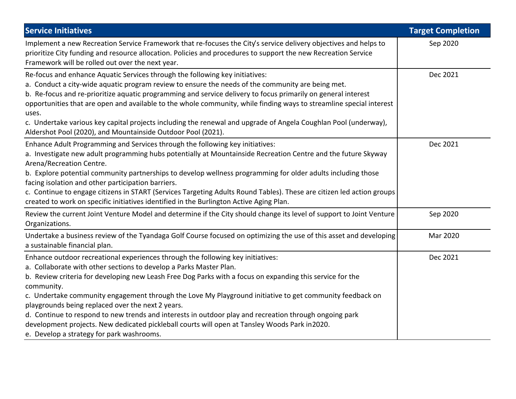| <b>Service Initiatives</b>                                                                                                                                                                                                                                                                                                                                                                                                                                                                                                                                                                                                                                                                                 | <b>Target Completion</b> |
|------------------------------------------------------------------------------------------------------------------------------------------------------------------------------------------------------------------------------------------------------------------------------------------------------------------------------------------------------------------------------------------------------------------------------------------------------------------------------------------------------------------------------------------------------------------------------------------------------------------------------------------------------------------------------------------------------------|--------------------------|
| Implement a new Recreation Service Framework that re-focuses the City's service delivery objectives and helps to<br>prioritize City funding and resource allocation. Policies and procedures to support the new Recreation Service<br>Framework will be rolled out over the next year.                                                                                                                                                                                                                                                                                                                                                                                                                     | Sep 2020                 |
| Re-focus and enhance Aquatic Services through the following key initiatives:<br>a. Conduct a city-wide aquatic program review to ensure the needs of the community are being met.<br>b. Re-focus and re-prioritize aquatic programming and service delivery to focus primarily on general interest<br>opportunities that are open and available to the whole community, while finding ways to streamline special interest<br>uses.<br>c. Undertake various key capital projects including the renewal and upgrade of Angela Coughlan Pool (underway),<br>Aldershot Pool (2020), and Mountainside Outdoor Pool (2021).                                                                                      | Dec 2021                 |
| Enhance Adult Programming and Services through the following key initiatives:<br>a. Investigate new adult programming hubs potentially at Mountainside Recreation Centre and the future Skyway<br>Arena/Recreation Centre.<br>b. Explore potential community partnerships to develop wellness programming for older adults including those<br>facing isolation and other participation barriers.<br>c. Continue to engage citizens in START (Services Targeting Adults Round Tables). These are citizen led action groups<br>created to work on specific initiatives identified in the Burlington Active Aging Plan.                                                                                       | Dec 2021                 |
| Review the current Joint Venture Model and determine if the City should change its level of support to Joint Venture<br>Organizations.                                                                                                                                                                                                                                                                                                                                                                                                                                                                                                                                                                     | Sep 2020                 |
| Undertake a business review of the Tyandaga Golf Course focused on optimizing the use of this asset and developing<br>a sustainable financial plan.                                                                                                                                                                                                                                                                                                                                                                                                                                                                                                                                                        | Mar 2020                 |
| Enhance outdoor recreational experiences through the following key initiatives:<br>a. Collaborate with other sections to develop a Parks Master Plan.<br>b. Review criteria for developing new Leash Free Dog Parks with a focus on expanding this service for the<br>community.<br>c. Undertake community engagement through the Love My Playground initiative to get community feedback on<br>playgrounds being replaced over the next 2 years.<br>d. Continue to respond to new trends and interests in outdoor play and recreation through ongoing park<br>development projects. New dedicated pickleball courts will open at Tansley Woods Park in 2020.<br>e. Develop a strategy for park washrooms. | Dec 2021                 |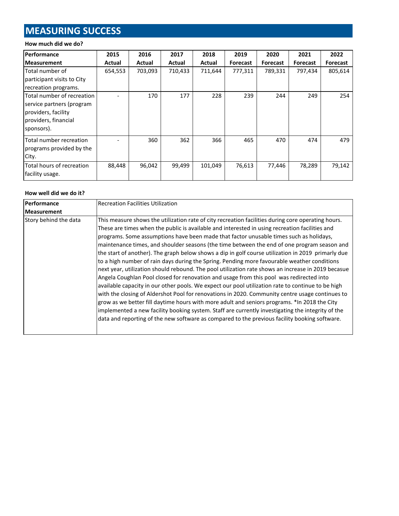# **MEASURING SUCCESS**

#### **How much did we do?**

| <b>Performance</b>                                                                                                   | 2015    | 2016    | 2017    | 2018    | 2019     | 2020            | 2021            | 2022            |
|----------------------------------------------------------------------------------------------------------------------|---------|---------|---------|---------|----------|-----------------|-----------------|-----------------|
| <b>Measurement</b>                                                                                                   | Actual  | Actual  | Actual  | Actual  | Forecast | <b>Forecast</b> | <b>Forecast</b> | <b>Forecast</b> |
| Total number of                                                                                                      | 654,553 | 703,093 | 710,433 | 711,644 | 777,311  | 789,331         | 797,434         | 805,614         |
| participant visits to City                                                                                           |         |         |         |         |          |                 |                 |                 |
| recreation programs.                                                                                                 |         |         |         |         |          |                 |                 |                 |
| Total number of recreation<br>service partners (program<br>providers, facility<br>providers, financial<br>sponsors). |         | 170     | 177     | 228     | 239      | 244             | 249             | 254             |
| Total number recreation<br>programs provided by the<br>City.                                                         |         | 360     | 362     | 366     | 465      | 470             | 474             | 479             |
| Total hours of recreation<br>facility usage.                                                                         | 88,448  | 96,042  | 99,499  | 101,049 | 76,613   | 77,446          | 78,289          | 79,142          |

#### **How well did we do it?**

| Performance<br><b>Measurement</b> | <b>Recreation Facilities Utilization</b>                                                                                                                                                                                                                                                                                                                                                                                                                                                                                                                                                                                                                                                                                                                                                                                                                                                                                                                                                                                                                                                                                                                                                                                                                                                                          |
|-----------------------------------|-------------------------------------------------------------------------------------------------------------------------------------------------------------------------------------------------------------------------------------------------------------------------------------------------------------------------------------------------------------------------------------------------------------------------------------------------------------------------------------------------------------------------------------------------------------------------------------------------------------------------------------------------------------------------------------------------------------------------------------------------------------------------------------------------------------------------------------------------------------------------------------------------------------------------------------------------------------------------------------------------------------------------------------------------------------------------------------------------------------------------------------------------------------------------------------------------------------------------------------------------------------------------------------------------------------------|
| Story behind the data             | This measure shows the utilization rate of city recreation facilities during core operating hours.<br>These are times when the public is available and interested in using recreation facilities and<br>programs. Some assumptions have been made that factor unusable times such as holidays,<br>maintenance times, and shoulder seasons (the time between the end of one program season and<br>the start of another). The graph below shows a dip in golf course utilization in 2019 primarly due<br>to a high number of rain days during the Spring. Pending more favourable weather conditions<br>next year, utilization should rebound. The pool utilization rate shows an increase in 2019 becasue<br>Angela Coughlan Pool closed for renovation and usage from this pool was redirected into<br>available capacity in our other pools. We expect our pool utilization rate to continue to be high<br>with the closing of Aldershot Pool for renovations in 2020. Community centre usage continues to<br>grow as we better fill daytime hours with more adult and seniors programs. *In 2018 the City<br>implemented a new facility booking system. Staff are currently investigating the integrity of the<br>data and reporting of the new software as compared to the previous facility booking software. |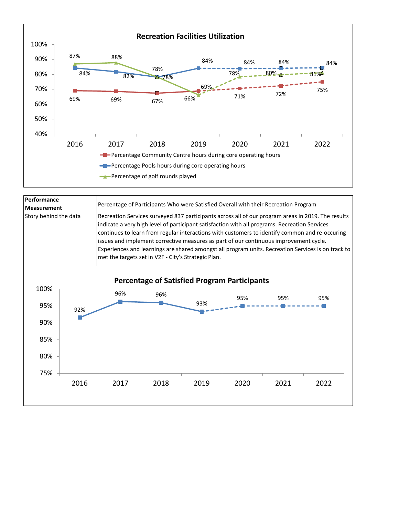